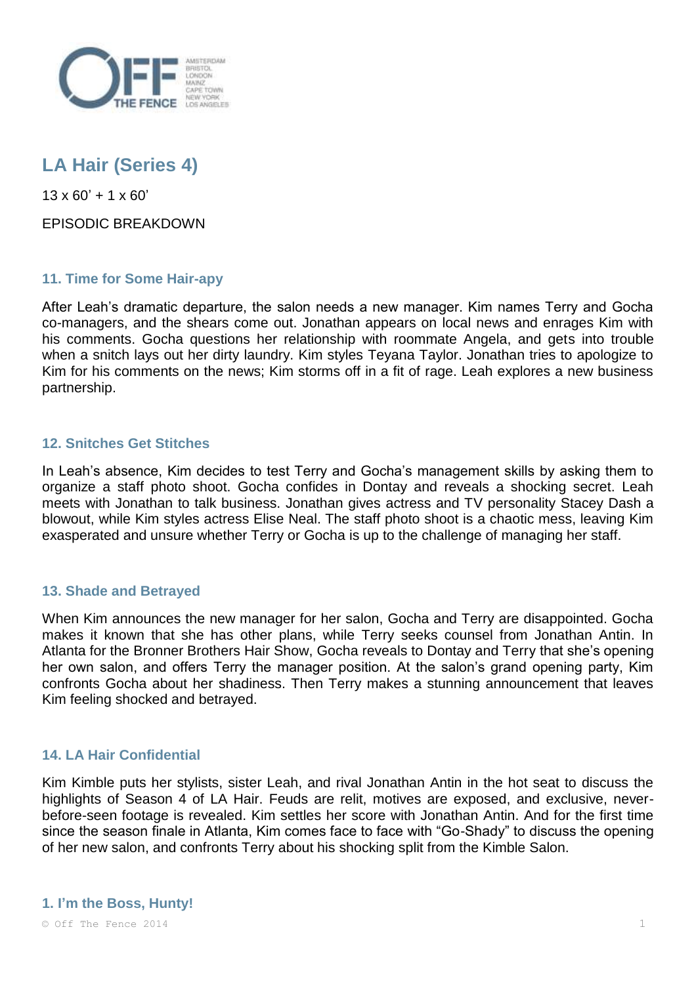

# **LA Hair (Series 4)**

 $13 \times 60' + 1 \times 60'$ 

EPISODIC BREAKDOWN

# **11. Time for Some Hair-apy**

After Leah's dramatic departure, the salon needs a new manager. Kim names Terry and Gocha co-managers, and the shears come out. Jonathan appears on local news and enrages Kim with his comments. Gocha questions her relationship with roommate Angela, and gets into trouble when a snitch lays out her dirty laundry. Kim styles Teyana Taylor. Jonathan tries to apologize to Kim for his comments on the news; Kim storms off in a fit of rage. Leah explores a new business partnership.

# **12. Snitches Get Stitches**

In Leah's absence, Kim decides to test Terry and Gocha's management skills by asking them to organize a staff photo shoot. Gocha confides in Dontay and reveals a shocking secret. Leah meets with Jonathan to talk business. Jonathan gives actress and TV personality Stacey Dash a blowout, while Kim styles actress Elise Neal. The staff photo shoot is a chaotic mess, leaving Kim exasperated and unsure whether Terry or Gocha is up to the challenge of managing her staff.

# **13. Shade and Betrayed**

When Kim announces the new manager for her salon, Gocha and Terry are disappointed. Gocha makes it known that she has other plans, while Terry seeks counsel from Jonathan Antin. In Atlanta for the Bronner Brothers Hair Show, Gocha reveals to Dontay and Terry that she's opening her own salon, and offers Terry the manager position. At the salon's grand opening party, Kim confronts Gocha about her shadiness. Then Terry makes a stunning announcement that leaves Kim feeling shocked and betrayed.

# **14. LA Hair Confidential**

Kim Kimble puts her stylists, sister Leah, and rival Jonathan Antin in the hot seat to discuss the highlights of Season 4 of LA Hair. Feuds are relit, motives are exposed, and exclusive, neverbefore-seen footage is revealed. Kim settles her score with Jonathan Antin. And for the first time since the season finale in Atlanta, Kim comes face to face with "Go-Shady" to discuss the opening of her new salon, and confronts Terry about his shocking split from the Kimble Salon.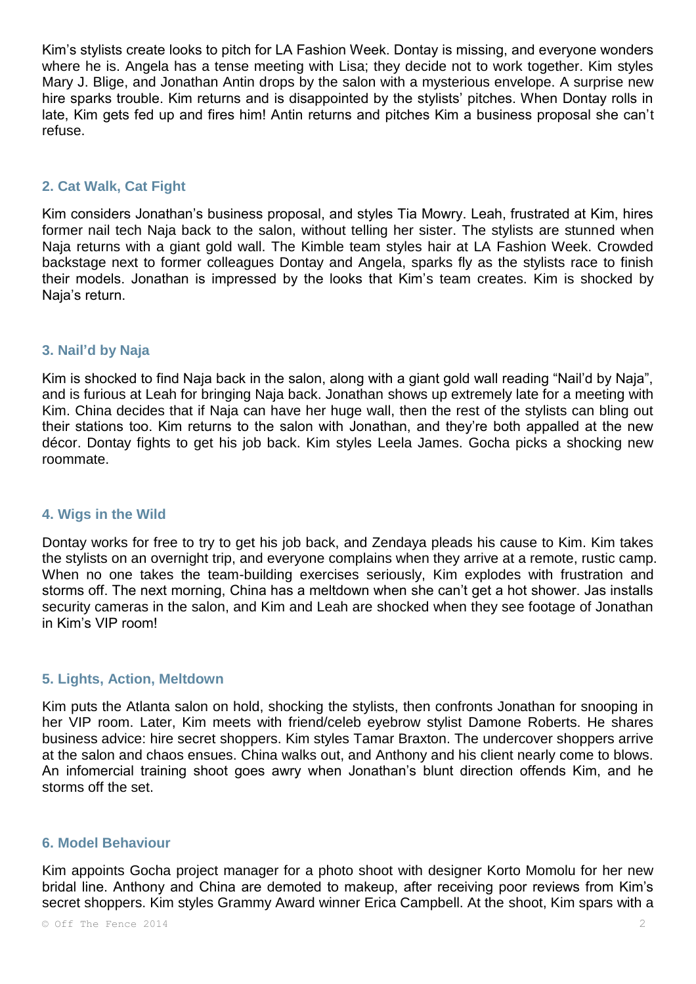Kim's stylists create looks to pitch for LA Fashion Week. Dontay is missing, and everyone wonders where he is. Angela has a tense meeting with Lisa; they decide not to work together. Kim styles Mary J. Blige, and Jonathan Antin drops by the salon with a mysterious envelope. A surprise new hire sparks trouble. Kim returns and is disappointed by the stylists' pitches. When Dontay rolls in late, Kim gets fed up and fires him! Antin returns and pitches Kim a business proposal she can't refuse.

## **2. Cat Walk, Cat Fight**

Kim considers Jonathan's business proposal, and styles Tia Mowry. Leah, frustrated at Kim, hires former nail tech Naja back to the salon, without telling her sister. The stylists are stunned when Naja returns with a giant gold wall. The Kimble team styles hair at LA Fashion Week. Crowded backstage next to former colleagues Dontay and Angela, sparks fly as the stylists race to finish their models. Jonathan is impressed by the looks that Kim's team creates. Kim is shocked by Naja's return.

### **3. Nail'd by Naja**

Kim is shocked to find Naja back in the salon, along with a giant gold wall reading "Nail'd by Naja", and is furious at Leah for bringing Naja back. Jonathan shows up extremely late for a meeting with Kim. China decides that if Naja can have her huge wall, then the rest of the stylists can bling out their stations too. Kim returns to the salon with Jonathan, and they're both appalled at the new décor. Dontay fights to get his job back. Kim styles Leela James. Gocha picks a shocking new roommate.

#### **4. Wigs in the Wild**

Dontay works for free to try to get his job back, and Zendaya pleads his cause to Kim. Kim takes the stylists on an overnight trip, and everyone complains when they arrive at a remote, rustic camp. When no one takes the team-building exercises seriously, Kim explodes with frustration and storms off. The next morning, China has a meltdown when she can't get a hot shower. Jas installs security cameras in the salon, and Kim and Leah are shocked when they see footage of Jonathan in Kim's VIP room!

#### **5. Lights, Action, Meltdown**

Kim puts the Atlanta salon on hold, shocking the stylists, then confronts Jonathan for snooping in her VIP room. Later, Kim meets with friend/celeb eyebrow stylist Damone Roberts. He shares business advice: hire secret shoppers. Kim styles Tamar Braxton. The undercover shoppers arrive at the salon and chaos ensues. China walks out, and Anthony and his client nearly come to blows. An infomercial training shoot goes awry when Jonathan's blunt direction offends Kim, and he storms off the set.

#### **6. Model Behaviour**

Kim appoints Gocha project manager for a photo shoot with designer Korto Momolu for her new bridal line. Anthony and China are demoted to makeup, after receiving poor reviews from Kim's secret shoppers. Kim styles Grammy Award winner Erica Campbell. At the shoot, Kim spars with a